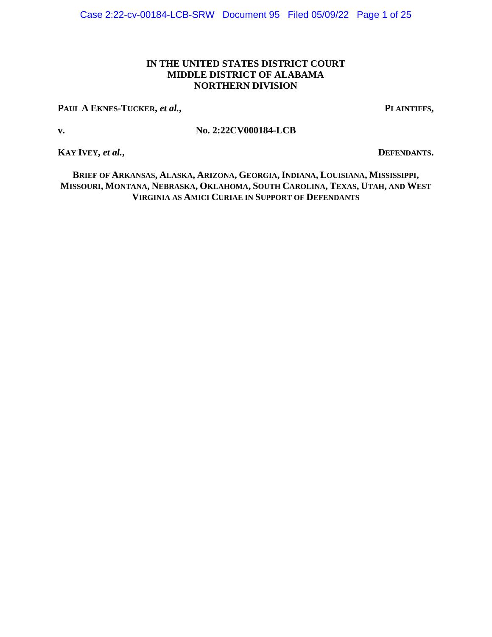## **IN THE UNITED STATES DISTRICT COURT MIDDLE DISTRICT OF ALABAMA NORTHERN DIVISION**

**PAUL A EKNES-TUCKER,** *et al.***, PLAINTIFFS,**

## **v. No. 2:22CV000184-LCB**

**KAY IVEY,** *et al.***, <b>DEFENDANTS**.

BRIEF OF ARKANSAS, ALASKA, ARIZONA, GEORGIA, INDIANA, LOUISIANA, MISSISSIPPI, MISSOURI, MONTANA, NEBRASKA, OKLAHOMA, SOUTH CAROLINA, TEXAS, UTAH, AND WEST **VIRGINIA AS AMICI CURIAE IN SUPPORT OF DEFENDANTS**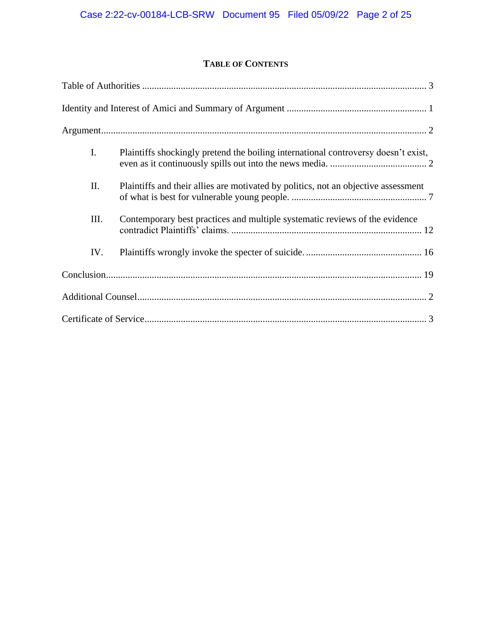# **TABLE OF CONTENTS**

| I.  | Plaintiffs shockingly pretend the boiling international controversy doesn't exist, |
|-----|------------------------------------------------------------------------------------|
| II. | Plaintiffs and their allies are motivated by politics, not an objective assessment |
| Ш.  | Contemporary best practices and multiple systematic reviews of the evidence        |
| IV. |                                                                                    |
|     |                                                                                    |
|     |                                                                                    |
|     |                                                                                    |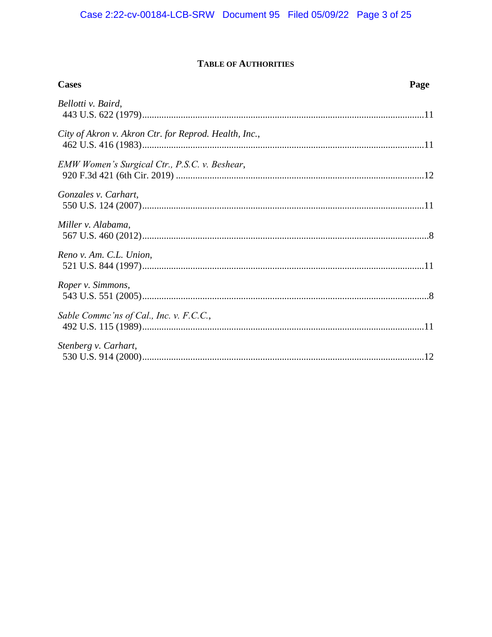# **TABLE OF AUTHORITIES**

<span id="page-2-0"></span>

| <b>Cases</b>                                          | Page |
|-------------------------------------------------------|------|
| Bellotti v. Baird,                                    |      |
| City of Akron v. Akron Ctr. for Reprod. Health, Inc., |      |
| EMW Women's Surgical Ctr., P.S.C. v. Beshear,         |      |
| Gonzales v. Carhart,                                  |      |
| Miller v. Alabama,                                    |      |
| Reno v. Am. C.L. Union,                               |      |
| Roper v. Simmons,                                     |      |
| Sable Commc'ns of Cal., Inc. v. F.C.C.,               |      |
| Stenberg v. Carhart,                                  |      |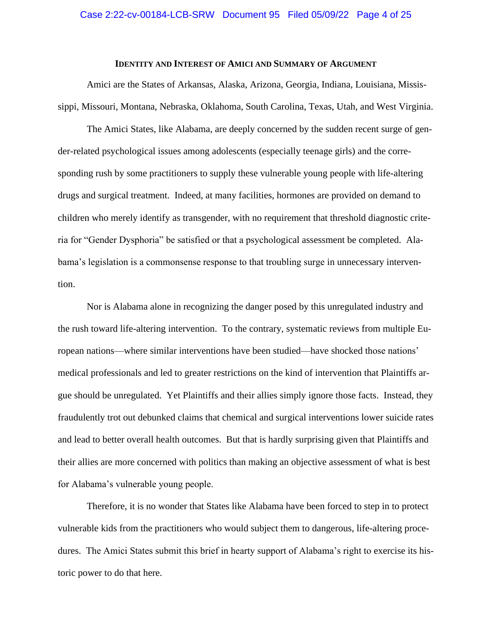#### **IDENTITY AND INTEREST OF AMICI AND SUMMARY OF ARGUMENT**

<span id="page-3-0"></span>Amici are the States of Arkansas, Alaska, Arizona, Georgia, Indiana, Louisiana, Mississippi, Missouri, Montana, Nebraska, Oklahoma, South Carolina, Texas, Utah, and West Virginia.

The Amici States, like Alabama, are deeply concerned by the sudden recent surge of gender-related psychological issues among adolescents (especially teenage girls) and the corresponding rush by some practitioners to supply these vulnerable young people with life-altering drugs and surgical treatment. Indeed, at many facilities, hormones are provided on demand to children who merely identify as transgender, with no requirement that threshold diagnostic criteria for "Gender Dysphoria" be satisfied or that a psychological assessment be completed. Alabama's legislation is a commonsense response to that troubling surge in unnecessary intervention.

Nor is Alabama alone in recognizing the danger posed by this unregulated industry and the rush toward life-altering intervention. To the contrary, systematic reviews from multiple European nations—where similar interventions have been studied—have shocked those nations' medical professionals and led to greater restrictions on the kind of intervention that Plaintiffs argue should be unregulated. Yet Plaintiffs and their allies simply ignore those facts. Instead, they fraudulently trot out debunked claims that chemical and surgical interventions lower suicide rates and lead to better overall health outcomes. But that is hardly surprising given that Plaintiffs and their allies are more concerned with politics than making an objective assessment of what is best for Alabama's vulnerable young people.

Therefore, it is no wonder that States like Alabama have been forced to step in to protect vulnerable kids from the practitioners who would subject them to dangerous, life-altering procedures. The Amici States submit this brief in hearty support of Alabama's right to exercise its historic power to do that here.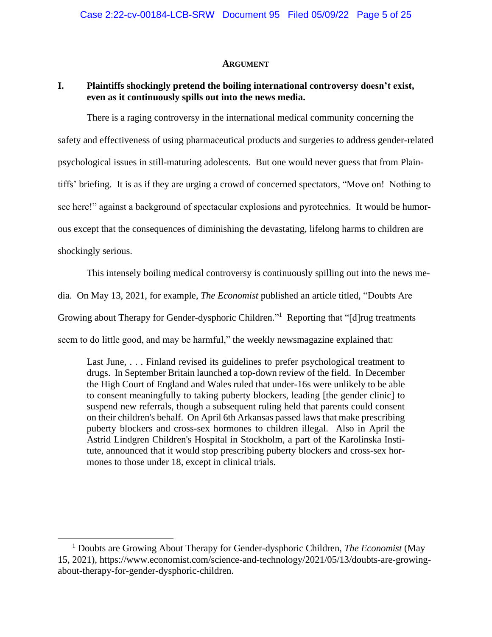#### **ARGUMENT**

### <span id="page-4-1"></span><span id="page-4-0"></span>**I. Plaintiffs shockingly pretend the boiling international controversy doesn't exist, even as it continuously spills out into the news media.**

There is a raging controversy in the international medical community concerning the safety and effectiveness of using pharmaceutical products and surgeries to address gender-related psychological issues in still-maturing adolescents. But one would never guess that from Plaintiffs' briefing. It is as if they are urging a crowd of concerned spectators, "Move on! Nothing to see here!" against a background of spectacular explosions and pyrotechnics. It would be humorous except that the consequences of diminishing the devastating, lifelong harms to children are shockingly serious.

This intensely boiling medical controversy is continuously spilling out into the news media. On May 13, 2021, for example, *The Economist* published an article titled, "Doubts Are Growing about Therapy for Gender-dysphoric Children."<sup>1</sup> Reporting that "[d]rug treatments seem to do little good, and may be harmful," the weekly newsmagazine explained that:

Last June, . . . Finland revised its guidelines to prefer psychological treatment to drugs. In September Britain launched a top-down review of the field. In December the High Court of England and Wales ruled that under-16s were unlikely to be able to consent meaningfully to taking puberty blockers, leading [the gender clinic] to suspend new referrals, though a subsequent ruling held that parents could consent on their children's behalf. On April 6th Arkansas passed laws that make prescribing puberty blockers and cross-sex hormones to children illegal. Also in April the Astrid Lindgren Children's Hospital in Stockholm, a part of the Karolinska Institute, announced that it would stop prescribing puberty blockers and cross-sex hormones to those under 18, except in clinical trials.

<sup>1</sup> Doubts are Growing About Therapy for Gender-dysphoric Children, *The Economist* (May 15, 2021), https://www.economist.com/science-and-technology/2021/05/13/doubts-are-growingabout-therapy-for-gender-dysphoric-children.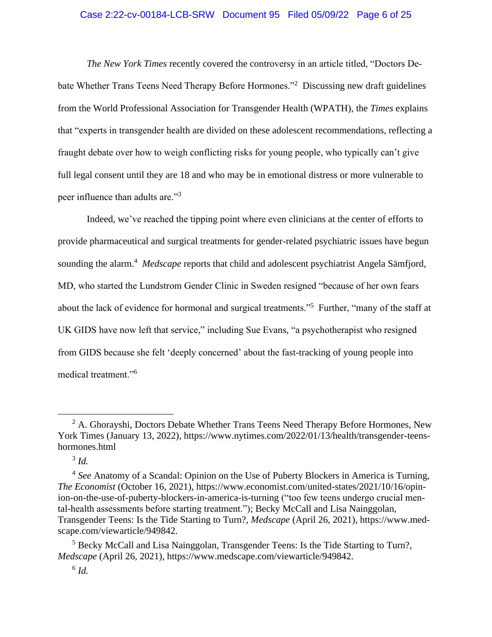### Case 2:22-cv-00184-LCB-SRW Document 95 Filed 05/09/22 Page 6 of 25

*The New York Times* recently covered the controversy in an article titled, "Doctors Debate Whether Trans Teens Need Therapy Before Hormones."<sup>2</sup> Discussing new draft guidelines from the World Professional Association for Transgender Health (WPATH), the *Times* explains that "experts in transgender health are divided on these adolescent recommendations, reflecting a fraught debate over how to weigh conflicting risks for young people, who typically can't give full legal consent until they are 18 and who may be in emotional distress or more vulnerable to peer influence than adults are."<sup>3</sup>

Indeed, we've reached the tipping point where even clinicians at the center of efforts to provide pharmaceutical and surgical treatments for gender-related psychiatric issues have begun sounding the alarm. 4 *Medscape* reports that child and adolescent psychiatrist Angela Sämfjord, MD, who started the Lundstrom Gender Clinic in Sweden resigned "because of her own fears about the lack of evidence for hormonal and surgical treatments."<sup>5</sup> Further, "many of the staff at UK GIDS have now left that service," including Sue Evans, "a psychotherapist who resigned from GIDS because she felt 'deeply concerned' about the fast-tracking of young people into medical treatment."<sup>6</sup>

 $2$  A. Ghorayshi, Doctors Debate Whether Trans Teens Need Therapy Before Hormones, New York Times (January 13, 2022), https://www.nytimes.com/2022/01/13/health/transgender-teenshormones.html

<sup>3</sup> *Id.*

<sup>4</sup> *See* Anatomy of a Scandal: Opinion on the Use of Puberty Blockers in America is Turning, *The Economist* (October 16, 2021), [https://www.economist.com/united-states/2021/10/16/opin](https://www.economist.com/united-states/2021/10/16/opinion-on-the-use-of-puberty-blockers-in-america-is-turning)[ion-on-the-use-of-puberty-blockers-in-america-is-turning](https://www.economist.com/united-states/2021/10/16/opinion-on-the-use-of-puberty-blockers-in-america-is-turning) ("too few teens undergo crucial mental-health assessments before starting treatment."); Becky McCall and Lisa Nainggolan, Transgender Teens: Is the Tide Starting to Turn?, *Medscape* (April 26, 2021), https://www.medscape.com/viewarticle/949842.

<sup>&</sup>lt;sup>5</sup> Becky McCall and Lisa Nainggolan, Transgender Teens: Is the Tide Starting to Turn?, *Medscape* (April 26, 2021), https://www.medscape.com/viewarticle/949842.

<sup>6</sup> *Id.*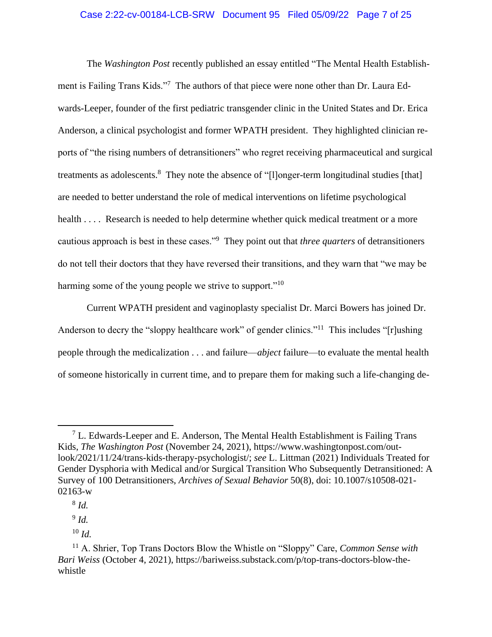### Case 2:22-cv-00184-LCB-SRW Document 95 Filed 05/09/22 Page 7 of 25

The *Washington Post* recently published an essay entitled "The Mental Health Establishment is Failing Trans Kids."<sup>7</sup> The authors of that piece were none other than Dr. Laura Edwards-Leeper, founder of the first pediatric transgender clinic in the United States and Dr. Erica Anderson, a clinical psychologist and former WPATH president. They highlighted clinician reports of "the rising numbers of detransitioners" who regret receiving pharmaceutical and surgical treatments as adolescents.<sup>8</sup> They note the absence of "[l]onger-term longitudinal studies [that] are needed to better understand the role of medical interventions on lifetime psychological health . . . . Research is needed to help determine whether quick medical treatment or a more cautious approach is best in these cases."<sup>9</sup> They point out that *three quarters* of detransitioners do not tell their doctors that they have reversed their transitions, and they warn that "we may be harming some of the young people we strive to support."<sup>10</sup>

Current WPATH president and vaginoplasty specialist Dr. Marci Bowers has joined Dr. Anderson to decry the "sloppy healthcare work" of gender clinics."<sup>11</sup> This includes "[r]ushing people through the medicalization . . . and failure—*abject* failure—to evaluate the mental health of someone historically in current time, and to prepare them for making such a life-changing de-

9 *Id.*

<sup>10</sup> *Id.*

 $<sup>7</sup>$  L. Edwards-Leeper and E. Anderson, The Mental Health Establishment is Failing Trans</sup> Kids, *The Washington Post* (November 24, 2021), [https://www.washingtonpost.com/out](https://www.washingtonpost.com/outlook/2021/11/24/trans-kids-therapy-psychologist/)[look/2021/11/24/trans-kids-therapy-psychologist/;](https://www.washingtonpost.com/outlook/2021/11/24/trans-kids-therapy-psychologist/) *see* L. Littman (2021) Individuals Treated for Gender Dysphoria with Medical and/or Surgical Transition Who Subsequently Detransitioned: A Survey of 100 Detransitioners, *Archives of Sexual Behavior* 50(8), doi: 10.1007/s10508-021- 02163-w

<sup>8</sup> *Id.*

<sup>11</sup> A. Shrier, Top Trans Doctors Blow the Whistle on "Sloppy" Care, *Common Sense with Bari Weiss* (October 4, 2021), https://bariweiss.substack.com/p/top-trans-doctors-blow-thewhistle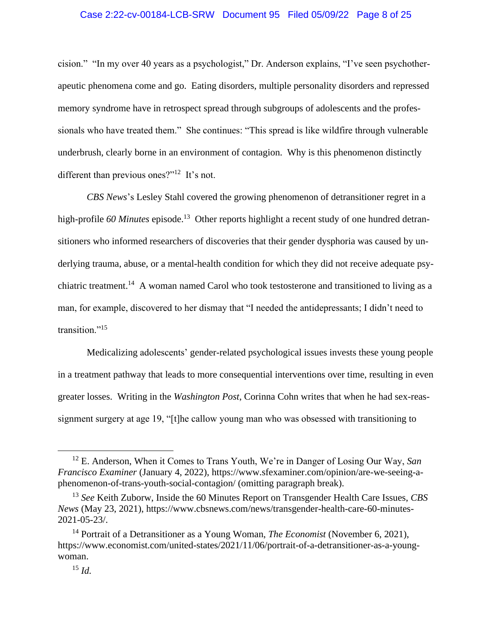### Case 2:22-cv-00184-LCB-SRW Document 95 Filed 05/09/22 Page 8 of 25

cision." "In my over 40 years as a psychologist," Dr. Anderson explains, "I've seen psychotherapeutic phenomena come and go. Eating disorders, multiple personality disorders and repressed memory syndrome have in retrospect spread through subgroups of adolescents and the professionals who have treated them." She continues: "This spread is like wildfire through vulnerable underbrush, clearly borne in an environment of contagion. Why is this phenomenon distinctly different than previous ones?"<sup>12</sup> It's not.

*CBS News*'s Lesley Stahl covered the growing phenomenon of detransitioner regret in a high-profile 60 Minutes episode.<sup>13</sup> Other reports highlight a recent study of one hundred detransitioners who informed researchers of discoveries that their gender dysphoria was caused by underlying trauma, abuse, or a mental-health condition for which they did not receive adequate psychiatric treatment.<sup>14</sup> A woman named Carol who took testosterone and transitioned to living as a man, for example, discovered to her dismay that "I needed the antidepressants; I didn't need to transition."<sup>15</sup>

Medicalizing adolescents' gender-related psychological issues invests these young people in a treatment pathway that leads to more consequential interventions over time, resulting in even greater losses. Writing in the *Washington Post*, Corinna Cohn writes that when he had sex-reassignment surgery at age 19, "[t]he callow young man who was obsessed with transitioning to

<sup>12</sup> E. Anderson, When it Comes to Trans Youth, We're in Danger of Losing Our Way, *San Francisco Examiner* (January 4, 2022), [https://www.sfexaminer.com/opinion/are-we-seeing-a](https://www.sfexaminer.com/opinion/are-we-seeing-a-phenomenon-of-trans-youth-social-contagion/)[phenomenon-of-trans-youth-social-contagion/](https://www.sfexaminer.com/opinion/are-we-seeing-a-phenomenon-of-trans-youth-social-contagion/) (omitting paragraph break).

<sup>13</sup> *See* Keith Zuborw, Inside the 60 Minutes Report on Transgender Health Care Issues, *CBS News* (May 23, 2021), https://www.cbsnews.com/news/transgender-health-care-60-minutes-2021-05-23/.

<sup>14</sup> Portrait of a Detransitioner as a Young Woman, *The Economist* (November 6, 2021), [https://www.economist.com/united-states/2021/11/06/portrait-of-a-detransitioner-as-a-young](https://www.economist.com/united-states/2021/11/06/portrait-of-a-detransitioner-as-a-young-woman)[woman.](https://www.economist.com/united-states/2021/11/06/portrait-of-a-detransitioner-as-a-young-woman)

<sup>15</sup> *Id.*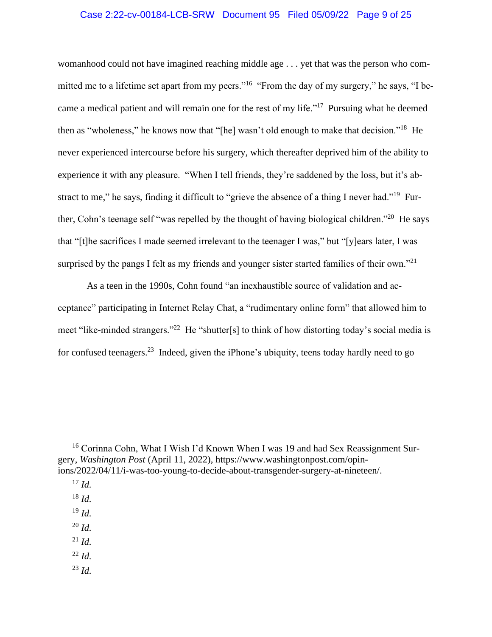## Case 2:22-cv-00184-LCB-SRW Document 95 Filed 05/09/22 Page 9 of 25

womanhood could not have imagined reaching middle age . . . yet that was the person who committed me to a lifetime set apart from my peers."<sup>16</sup> "From the day of my surgery," he says, "I became a medical patient and will remain one for the rest of my life."<sup>17</sup> Pursuing what he deemed then as "wholeness," he knows now that "[he] wasn't old enough to make that decision."<sup>18</sup> He never experienced intercourse before his surgery, which thereafter deprived him of the ability to experience it with any pleasure. "When I tell friends, they're saddened by the loss, but it's abstract to me," he says, finding it difficult to "grieve the absence of a thing I never had."<sup>19</sup> Further, Cohn's teenage self "was repelled by the thought of having biological children."<sup>20</sup> He says that "[t]he sacrifices I made seemed irrelevant to the teenager I was," but "[y]ears later, I was surprised by the pangs I felt as my friends and younger sister started families of their own."<sup>21</sup>

As a teen in the 1990s, Cohn found "an inexhaustible source of validation and acceptance" participating in Internet Relay Chat, a "rudimentary online form" that allowed him to meet "like-minded strangers."<sup>22</sup> He "shutter[s] to think of how distorting today's social media is for confused teenagers.<sup>23</sup> Indeed, given the iPhone's ubiquity, teens today hardly need to go

- <sup>20</sup> *Id.*
- <sup>21</sup> *Id.*
- <sup>22</sup> *Id.*
- <sup>23</sup> *Id.*

<sup>&</sup>lt;sup>16</sup> Corinna Cohn, What I Wish I'd Known When I was 19 and had Sex Reassignment Surgery, *Washington Post* (April 11, 2022), https://www.washingtonpost.com/opinions/2022/04/11/i-was-too-young-to-decide-about-transgender-surgery-at-nineteen/.

 $^{17}$  *Id.* 

<sup>18</sup> *Id.*

<sup>19</sup> *Id.*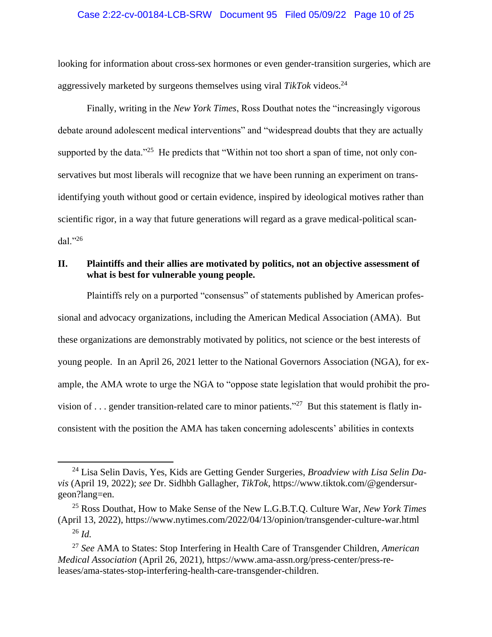### Case 2:22-cv-00184-LCB-SRW Document 95 Filed 05/09/22 Page 10 of 25

looking for information about cross-sex hormones or even gender-transition surgeries, which are aggressively marketed by surgeons themselves using viral *TikTok* videos. 24

Finally, writing in the *New York Times*, Ross Douthat notes the "increasingly vigorous debate around adolescent medical interventions" and "widespread doubts that they are actually supported by the data."<sup>25</sup> He predicts that "Within not too short a span of time, not only conservatives but most liberals will recognize that we have been running an experiment on transidentifying youth without good or certain evidence, inspired by ideological motives rather than scientific rigor, in a way that future generations will regard as a grave medical-political scandal."<sup>26</sup>

## <span id="page-9-0"></span>**II. Plaintiffs and their allies are motivated by politics, not an objective assessment of what is best for vulnerable young people.**

Plaintiffs rely on a purported "consensus" of statements published by American professional and advocacy organizations, including the American Medical Association (AMA). But these organizations are demonstrably motivated by politics, not science or the best interests of young people. In an April 26, 2021 letter to the National Governors Association (NGA), for example, the AMA wrote to urge the NGA to "oppose state legislation that would prohibit the provision of ... gender transition-related care to minor patients."<sup>27</sup> But this statement is flatly inconsistent with the position the AMA has taken concerning adolescents' abilities in contexts

<sup>24</sup> Lisa Selin Davis, Yes, Kids are Getting Gender Surgeries, *Broadview with Lisa Selin Davis* (April 19, 2022); *see* Dr. Sidhbh Gallagher, *TikTok*, https://www.tiktok.com/@gendersurgeon?lang=en.

<sup>25</sup> Ross Douthat, How to Make Sense of the New L.G.B.T.Q. Culture War, *New York Times* (April 13, 2022), https://www.nytimes.com/2022/04/13/opinion/transgender-culture-war.html <sup>26</sup> *Id.*

<sup>27</sup> *See* AMA to States: Stop Interfering in Health Care of Transgender Children, *American Medical Association* (April 26, 2021), https://www.ama-assn.org/press-center/press-releases/ama-states-stop-interfering-health-care-transgender-children.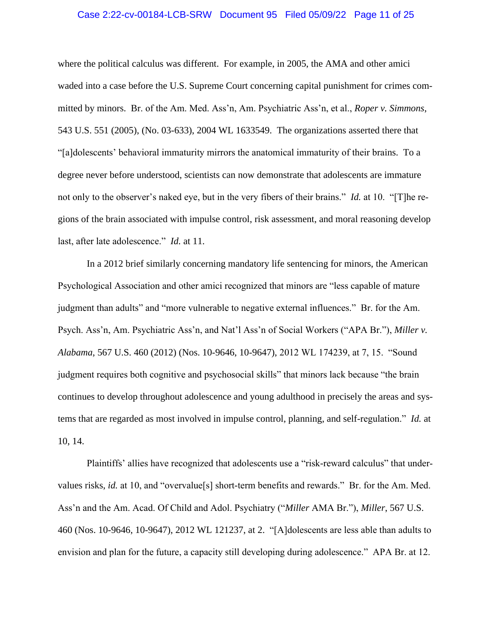### Case 2:22-cv-00184-LCB-SRW Document 95 Filed 05/09/22 Page 11 of 25

where the political calculus was different. For example, in 2005, the AMA and other amici waded into a case before the U.S. Supreme Court concerning capital punishment for crimes committed by minors. Br. of the Am. Med. Ass'n, Am. Psychiatric Ass'n, et al., *Roper v. Simmons*, 543 U.S. 551 (2005), (No. 03-633), 2004 WL 1633549. The organizations asserted there that "[a]dolescents' behavioral immaturity mirrors the anatomical immaturity of their brains. To a degree never before understood, scientists can now demonstrate that adolescents are immature not only to the observer's naked eye, but in the very fibers of their brains." *Id.* at 10. "[T]he regions of the brain associated with impulse control, risk assessment, and moral reasoning develop last, after late adolescence." *Id.* at 11.

In a 2012 brief similarly concerning mandatory life sentencing for minors, the American Psychological Association and other amici recognized that minors are "less capable of mature judgment than adults" and "more vulnerable to negative external influences." Br. for the Am. Psych. Ass'n, Am. Psychiatric Ass'n, and Nat'l Ass'n of Social Workers ("APA Br."), *Miller v. Alabama*, 567 U.S. 460 (2012) (Nos. 10-9646, 10-9647), 2012 WL 174239, at 7, 15. "Sound judgment requires both cognitive and psychosocial skills" that minors lack because "the brain continues to develop throughout adolescence and young adulthood in precisely the areas and systems that are regarded as most involved in impulse control, planning, and self-regulation." *Id.* at 10, 14.

Plaintiffs' allies have recognized that adolescents use a "risk-reward calculus" that undervalues risks, *id.* at 10, and "overvalue[s] short-term benefits and rewards." Br. for the Am. Med. Ass'n and the Am. Acad. Of Child and Adol. Psychiatry ("*Miller* AMA Br."), *Miller*, 567 U.S. 460 (Nos. 10-9646, 10-9647), 2012 WL 121237, at 2. "[A]dolescents are less able than adults to envision and plan for the future, a capacity still developing during adolescence." APA Br. at 12.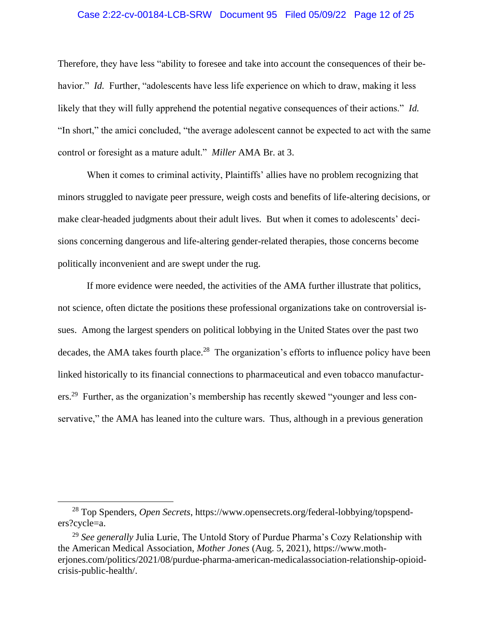### Case 2:22-cv-00184-LCB-SRW Document 95 Filed 05/09/22 Page 12 of 25

Therefore, they have less "ability to foresee and take into account the consequences of their behavior." *Id.* Further, "adolescents have less life experience on which to draw, making it less likely that they will fully apprehend the potential negative consequences of their actions." *Id.* "In short," the amici concluded, "the average adolescent cannot be expected to act with the same control or foresight as a mature adult." *Miller* AMA Br. at 3.

When it comes to criminal activity, Plaintiffs' allies have no problem recognizing that minors struggled to navigate peer pressure, weigh costs and benefits of life-altering decisions, or make clear-headed judgments about their adult lives. But when it comes to adolescents' decisions concerning dangerous and life-altering gender-related therapies, those concerns become politically inconvenient and are swept under the rug.

If more evidence were needed, the activities of the AMA further illustrate that politics, not science, often dictate the positions these professional organizations take on controversial issues. Among the largest spenders on political lobbying in the United States over the past two decades, the AMA takes fourth place.<sup>28</sup> The organization's efforts to influence policy have been linked historically to its financial connections to pharmaceutical and even tobacco manufacturers.<sup>29</sup> Further, as the organization's membership has recently skewed "younger and less conservative," the AMA has leaned into the culture wars. Thus, although in a previous generation

<sup>28</sup> Top Spenders, *Open Secrets*, https://www.opensecrets.org/federal-lobbying/topspenders?cycle=a.

<sup>29</sup> *See generally* Julia Lurie, The Untold Story of Purdue Pharma's Cozy Relationship with the American Medical Association, *Mother Jones* (Aug. 5, 2021), https://www.motherjones.com/politics/2021/08/purdue-pharma-american-medicalassociation-relationship-opioidcrisis-public-health/.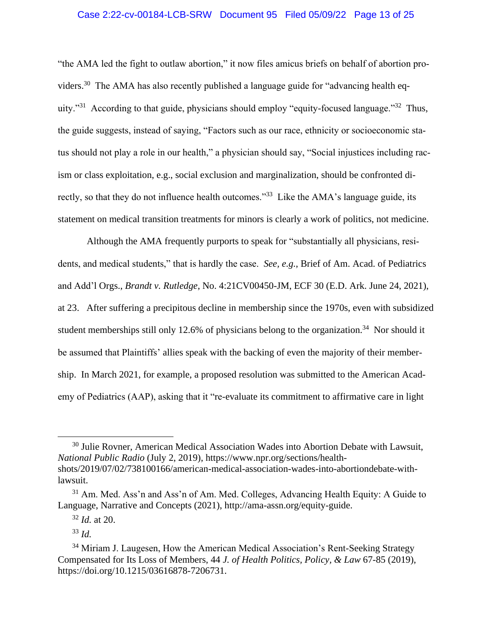## Case 2:22-cv-00184-LCB-SRW Document 95 Filed 05/09/22 Page 13 of 25

"the AMA led the fight to outlaw abortion," it now files amicus briefs on behalf of abortion providers.<sup>30</sup> The AMA has also recently published a language guide for "advancing health equity."<sup>31</sup> According to that guide, physicians should employ "equity-focused language."<sup>32</sup> Thus, the guide suggests, instead of saying, "Factors such as our race, ethnicity or socioeconomic status should not play a role in our health," a physician should say, "Social injustices including racism or class exploitation, e.g., social exclusion and marginalization, should be confronted directly, so that they do not influence health outcomes."<sup>33</sup> Like the AMA's language guide, its statement on medical transition treatments for minors is clearly a work of politics, not medicine.

Although the AMA frequently purports to speak for "substantially all physicians, residents, and medical students," that is hardly the case. *See, e.g.*, Brief of Am. Acad. of Pediatrics and Add'l Orgs., *Brandt v. Rutledge*, No. 4:21CV00450-JM, ECF 30 (E.D. Ark. June 24, 2021), at 23. After suffering a precipitous decline in membership since the 1970s, even with subsidized student memberships still only 12.6% of physicians belong to the organization.<sup>34</sup> Nor should it be assumed that Plaintiffs' allies speak with the backing of even the majority of their membership. In March 2021, for example, a proposed resolution was submitted to the American Academy of Pediatrics (AAP), asking that it "re-evaluate its commitment to affirmative care in light

<sup>&</sup>lt;sup>30</sup> Julie Rovner, American Medical Association Wades into Abortion Debate with Lawsuit, *National Public Radio* (July 2, 2019), https://www.npr.org/sections/healthshots/2019/07/02/738100166/american-medical-association-wades-into-abortiondebate-withlawsuit.

 $31$  Am. Med. Ass'n and Ass'n of Am. Med. Colleges, Advancing Health Equity: A Guide to Language, Narrative and Concepts (2021), http://ama-assn.org/equity-guide.

<sup>32</sup> *Id.* at 20.

<sup>33</sup> *Id.*

 $34$  Miriam J. Laugesen, How the American Medical Association's Rent-Seeking Strategy Compensated for Its Loss of Members, 44 *J. of Health Politics, Policy, & Law* 67-85 (2019), https://doi.org/10.1215/03616878-7206731.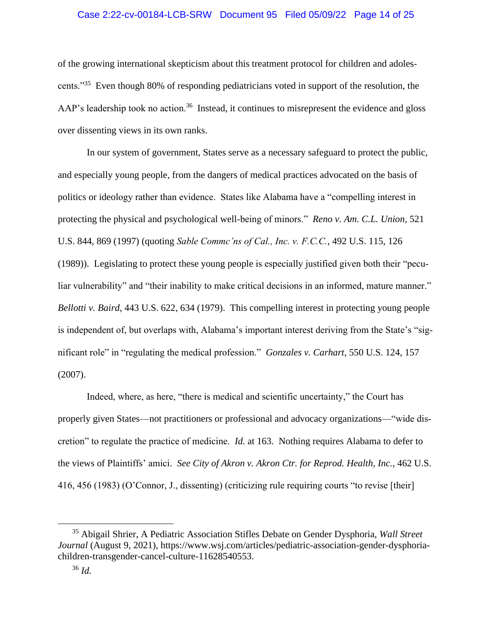### Case 2:22-cv-00184-LCB-SRW Document 95 Filed 05/09/22 Page 14 of 25

of the growing international skepticism about this treatment protocol for children and adolescents."<sup>35</sup> Even though 80% of responding pediatricians voted in support of the resolution, the AAP's leadership took no action.<sup>36</sup> Instead, it continues to misrepresent the evidence and gloss over dissenting views in its own ranks.

In our system of government, States serve as a necessary safeguard to protect the public, and especially young people, from the dangers of medical practices advocated on the basis of politics or ideology rather than evidence. States like Alabama have a "compelling interest in protecting the physical and psychological well-being of minors." *Reno v. Am. C.L. Union*, 521 U.S. 844, 869 (1997) (quoting *Sable Commc'ns of Cal., Inc. v. F.C.C.*, 492 U.S. 115, 126 (1989)). Legislating to protect these young people is especially justified given both their "peculiar vulnerability" and "their inability to make critical decisions in an informed, mature manner." *Bellotti v. Baird*, 443 U.S. 622, 634 (1979). This compelling interest in protecting young people is independent of, but overlaps with, Alabama's important interest deriving from the State's "significant role" in "regulating the medical profession." *Gonzales v. Carhart*, 550 U.S. 124, 157 (2007).

Indeed, where, as here, "there is medical and scientific uncertainty," the Court has properly given States—not practitioners or professional and advocacy organizations—"wide discretion" to regulate the practice of medicine. *Id.* at 163. Nothing requires Alabama to defer to the views of Plaintiffs' amici. *See City of Akron v. Akron Ctr. for Reprod. Health, Inc.*, 462 U.S. 416, 456 (1983) (O'Connor, J., dissenting) (criticizing rule requiring courts "to revise [their]

<sup>35</sup> Abigail Shrier, A Pediatric Association Stifles Debate on Gender Dysphoria, *Wall Street Journal* (August 9, 2021), https://www.wsj.com/articles/pediatric-association-gender-dysphoriachildren-transgender-cancel-culture-11628540553.

<sup>36</sup> *Id.*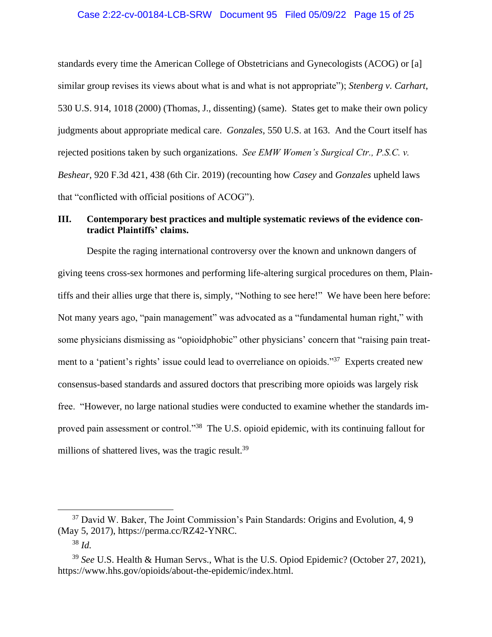### Case 2:22-cv-00184-LCB-SRW Document 95 Filed 05/09/22 Page 15 of 25

standards every time the American College of Obstetricians and Gynecologists (ACOG) or [a] similar group revises its views about what is and what is not appropriate"); *Stenberg v. Carhart*, 530 U.S. 914, 1018 (2000) (Thomas, J., dissenting) (same). States get to make their own policy judgments about appropriate medical care. *Gonzales*, 550 U.S. at 163. And the Court itself has rejected positions taken by such organizations. *See EMW Women's Surgical Ctr., P.S.C. v. Beshear*, 920 F.3d 421, 438 (6th Cir. 2019) (recounting how *Casey* and *Gonzales* upheld laws that "conflicted with official positions of ACOG").

## <span id="page-14-0"></span>**III. Contemporary best practices and multiple systematic reviews of the evidence contradict Plaintiffs' claims.**

Despite the raging international controversy over the known and unknown dangers of giving teens cross-sex hormones and performing life-altering surgical procedures on them, Plaintiffs and their allies urge that there is, simply, "Nothing to see here!" We have been here before: Not many years ago, "pain management" was advocated as a "fundamental human right," with some physicians dismissing as "opioidphobic" other physicians' concern that "raising pain treatment to a 'patient's rights' issue could lead to overreliance on opioids."<sup>37</sup> Experts created new consensus-based standards and assured doctors that prescribing more opioids was largely risk free. "However, no large national studies were conducted to examine whether the standards improved pain assessment or control."<sup>38</sup> The U.S. opioid epidemic, with its continuing fallout for millions of shattered lives, was the tragic result.<sup>39</sup>

<sup>&</sup>lt;sup>37</sup> David W. Baker, The Joint Commission's Pain Standards: Origins and Evolution, 4, 9 (May 5, 2017), https://perma.cc/RZ42-YNRC.

<sup>38</sup> *Id.* 

<sup>39</sup> *See* U.S. Health & Human Servs., What is the U.S. Opiod Epidemic? (October 27, 2021), https://www.hhs.gov/opioids/about-the-epidemic/index.html.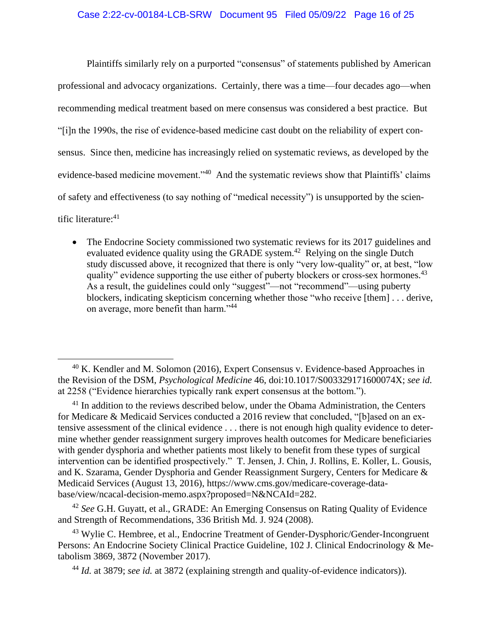### Case 2:22-cv-00184-LCB-SRW Document 95 Filed 05/09/22 Page 16 of 25

Plaintiffs similarly rely on a purported "consensus" of statements published by American professional and advocacy organizations. Certainly, there was a time—four decades ago—when recommending medical treatment based on mere consensus was considered a best practice. But "[i]n the 1990s, the rise of evidence-based medicine cast doubt on the reliability of expert consensus. Since then, medicine has increasingly relied on systematic reviews, as developed by the evidence-based medicine movement."<sup>40</sup> And the systematic reviews show that Plaintiffs' claims of safety and effectiveness (to say nothing of "medical necessity") is unsupported by the scientific literature:<sup>41</sup>

• The Endocrine Society commissioned two systematic reviews for its 2017 guidelines and evaluated evidence quality using the GRADE system.<sup>42</sup> Relying on the single Dutch study discussed above, it recognized that there is only "very low-quality" or, at best, "low quality" evidence supporting the use either of puberty blockers or cross-sex hormones.<sup>43</sup> As a result, the guidelines could only "suggest"—not "recommend"—using puberty blockers, indicating skepticism concerning whether those "who receive [them] . . . derive, on average, more benefit than harm."<sup>44</sup>

 $40$  K. Kendler and M. Solomon (2016), Expert Consensus v. Evidence-based Approaches in the Revision of the DSM, *Psychological Medicine* 46, doi:10.1017/S003329171600074X; *see id.* at 2258 ("Evidence hierarchies typically rank expert consensus at the bottom.").

<sup>&</sup>lt;sup>41</sup> In addition to the reviews described below, under the Obama Administration, the Centers for Medicare & Medicaid Services conducted a 2016 review that concluded, "[b]ased on an extensive assessment of the clinical evidence . . . there is not enough high quality evidence to determine whether gender reassignment surgery improves health outcomes for Medicare beneficiaries with gender dysphoria and whether patients most likely to benefit from these types of surgical intervention can be identified prospectively." T. Jensen, J. Chin, J. Rollins, E. Koller, L. Gousis, and K. Szarama, Gender Dysphoria and Gender Reassignment Surgery, Centers for Medicare & Medicaid Services (August 13, 2016), [https://www.cms.gov/medicare-coverage-data](https://www.cms.gov/medicare-coverage-database/view/ncacal-decision-memo.aspx?proposed=N&NCAId=282)[base/view/ncacal-decision-memo.aspx?proposed=N&NCAId=282.](https://www.cms.gov/medicare-coverage-database/view/ncacal-decision-memo.aspx?proposed=N&NCAId=282)

<sup>42</sup> *See* G.H. Guyatt, et al., GRADE: An Emerging Consensus on Rating Quality of Evidence and Strength of Recommendations, 336 British Md. J. 924 (2008).

<sup>&</sup>lt;sup>43</sup> Wylie C. Hembree, et al., Endocrine Treatment of Gender-Dysphoric/Gender-Incongruent Persons: An Endocrine Society Clinical Practice Guideline, 102 J. Clinical Endocrinology & Metabolism 3869, 3872 (November 2017).

<sup>44</sup> *Id.* at 3879; *see id.* at 3872 (explaining strength and quality-of-evidence indicators)).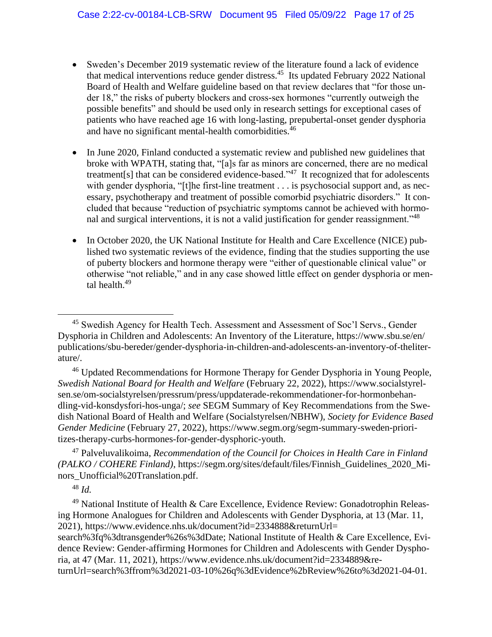- Sweden's December 2019 systematic review of the literature found a lack of evidence that medical interventions reduce gender distress.<sup>45</sup> Its updated February 2022 National Board of Health and Welfare guideline based on that review declares that "for those under 18," the risks of puberty blockers and cross-sex hormones "currently outweigh the possible benefits" and should be used only in research settings for exceptional cases of patients who have reached age 16 with long-lasting, prepubertal-onset gender dysphoria and have no significant mental-health comorbidities.<sup>46</sup>
- In June 2020, Finland conducted a systematic review and published new guidelines that broke with WPATH, stating that, "[a]s far as minors are concerned, there are no medical treatment[s] that can be considered evidence-based."<sup>47</sup> It recognized that for adolescents with gender dysphoria, "[t]he first-line treatment . . . is psychosocial support and, as necessary, psychotherapy and treatment of possible comorbid psychiatric disorders." It concluded that because "reduction of psychiatric symptoms cannot be achieved with hormonal and surgical interventions, it is not a valid justification for gender reassignment.<sup>148</sup>
- In October 2020, the UK National Institute for Health and Care Excellence (NICE) published two systematic reviews of the evidence, finding that the studies supporting the use of puberty blockers and hormone therapy were "either of questionable clinical value" or otherwise "not reliable," and in any case showed little effect on gender dysphoria or mental health.<sup>49</sup>

<sup>46</sup> Updated Recommendations for Hormone Therapy for Gender Dysphoria in Young People, *Swedish National Board for Health and Welfare* (February 22, 2022), [https://www.socialstyrel](https://www.socialstyrelsen.se/om-socialstyrelsen/pressrum/press/uppdaterade-rekommendationer-for-hormonbehandling-vid-konsdysfori-hos-unga/)[sen.se/om-socialstyrelsen/pressrum/press/uppdaterade-rekommendationer-for-hormonbehan](https://www.socialstyrelsen.se/om-socialstyrelsen/pressrum/press/uppdaterade-rekommendationer-for-hormonbehandling-vid-konsdysfori-hos-unga/)[dling-vid-konsdysfori-hos-unga/;](https://www.socialstyrelsen.se/om-socialstyrelsen/pressrum/press/uppdaterade-rekommendationer-for-hormonbehandling-vid-konsdysfori-hos-unga/) *see* SEGM Summary of Key Recommendations from the Swedish National Board of Health and Welfare (Socialstyrelsen/NBHW), *Society for Evidence Based Gender Medicine* (February 27, 2022), https://www.segm.org/segm-summary-sweden-prioritizes-therapy-curbs-hormones-for-gender-dysphoric-youth.

<sup>47</sup> Palveluvalikoima, *Recommendation of the Council for Choices in Health Care in Finland (PALKO / COHERE Finland)*, https://segm.org/sites/default/files/Finnish\_Guidelines\_2020\_Minors\_Unofficial%20Translation.pdf.

<sup>48</sup> *Id.*

<sup>49</sup> National Institute of Health & Care Excellence, Evidence Review: Gonadotrophin Releasing Hormone Analogues for Children and Adolescents with Gender Dysphoria, at 13 (Mar. 11, 2021),<https://www.evidence.nhs.uk/document?id=2334888&returnUrl=>

search%3fq%3dtransgender%26s%3dDate; National Institute of Health & Care Excellence, Evidence Review: Gender-affirming Hormones for Children and Adolescents with Gender Dysphoria, at 47 (Mar. 11, 2021), https://www.evidence.nhs.uk/document?id=2334889&re-

turnUrl=search%3ffrom%3d2021-03-10%26q%3dEvidence%2bReview%26to%3d2021-04-01.

<sup>&</sup>lt;sup>45</sup> Swedish Agency for Health Tech. Assessment and Assessment of Soc'l Servs., Gender Dysphoria in Children and Adolescents: An Inventory of the Literature, https://www.sbu.se/en/ publications/sbu-bereder/gender-dysphoria-in-children-and-adolescents-an-inventory-of-theliterature/.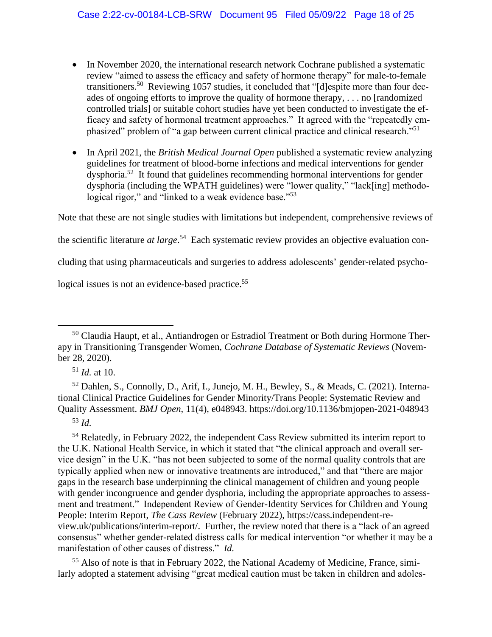- In November 2020, the international research network Cochrane published a systematic review "aimed to assess the efficacy and safety of hormone therapy" for male-to-female transitioners.<sup>50</sup> Reviewing 1057 studies, it concluded that "[d]espite more than four decades of ongoing efforts to improve the quality of hormone therapy, . . . no [randomized controlled trials] or suitable cohort studies have yet been conducted to investigate the efficacy and safety of hormonal treatment approaches." It agreed with the "repeatedly emphasized" problem of "a gap between current clinical practice and clinical research."<sup>51</sup>
- In April 2021, the *British Medical Journal Open* published a systematic review analyzing guidelines for treatment of blood-borne infections and medical interventions for gender dysphoria.<sup>52</sup> It found that guidelines recommending hormonal interventions for gender dysphoria (including the WPATH guidelines) were "lower quality," "lack[ing] methodological rigor," and "linked to a weak evidence base."<sup>53</sup>

Note that these are not single studies with limitations but independent, comprehensive reviews of

the scientific literature *at large*. 54 Each systematic review provides an objective evaluation con-

cluding that using pharmaceuticals and surgeries to address adolescents' gender-related psycho-

logical issues is not an evidence-based practice.<sup>55</sup>

<sup>51</sup> *Id.* at 10.

<sup>52</sup> Dahlen, S., Connolly, D., Arif, I., Junejo, M. H., Bewley, S., & Meads, C. (2021). International Clinical Practice Guidelines for Gender Minority/Trans People: Systematic Review and Quality Assessment. *BMJ Open*, 11(4), e048943. https://doi.org/10.1136/bmjopen-2021-048943

<sup>53</sup> *Id.*

<sup>54</sup> Relatedly, in February 2022, the independent Cass Review submitted its interim report to the U.K. National Health Service, in which it stated that "the clinical approach and overall service design" in the U.K. "has not been subjected to some of the normal quality controls that are typically applied when new or innovative treatments are introduced," and that "there are major gaps in the research base underpinning the clinical management of children and young people with gender incongruence and gender dysphoria, including the appropriate approaches to assessment and treatment." Independent Review of Gender-Identity Services for Children and Young People: Interim Report, *The Cass Review* (February 2022), [https://cass.independent-re](https://cass.independent-review.uk/publications/interim-report/)[view.uk/publications/interim-report/.](https://cass.independent-review.uk/publications/interim-report/) Further, the review noted that there is a "lack of an agreed consensus" whether gender-related distress calls for medical intervention "or whether it may be a manifestation of other causes of distress." *Id.*

<sup>55</sup> Also of note is that in February 2022, the National Academy of Medicine, France, similarly adopted a statement advising "great medical caution must be taken in children and adoles-

<sup>&</sup>lt;sup>50</sup> Claudia Haupt, et al., Antiandrogen or Estradiol Treatment or Both during Hormone Therapy in Transitioning Transgender Women, *Cochrane Database of Systematic Reviews* (November 28, 2020).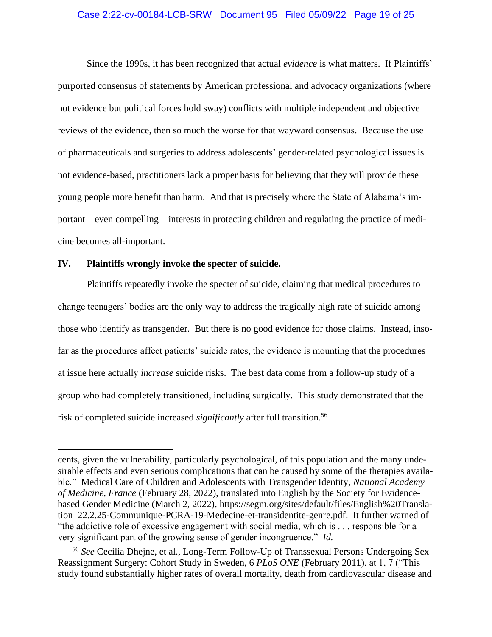### Case 2:22-cv-00184-LCB-SRW Document 95 Filed 05/09/22 Page 19 of 25

Since the 1990s, it has been recognized that actual *evidence* is what matters. If Plaintiffs' purported consensus of statements by American professional and advocacy organizations (where not evidence but political forces hold sway) conflicts with multiple independent and objective reviews of the evidence, then so much the worse for that wayward consensus. Because the use of pharmaceuticals and surgeries to address adolescents' gender-related psychological issues is not evidence-based, practitioners lack a proper basis for believing that they will provide these young people more benefit than harm. And that is precisely where the State of Alabama's important—even compelling—interests in protecting children and regulating the practice of medicine becomes all-important.

### <span id="page-18-0"></span>**IV. Plaintiffs wrongly invoke the specter of suicide.**

Plaintiffs repeatedly invoke the specter of suicide, claiming that medical procedures to change teenagers' bodies are the only way to address the tragically high rate of suicide among those who identify as transgender. But there is no good evidence for those claims. Instead, insofar as the procedures affect patients' suicide rates, the evidence is mounting that the procedures at issue here actually *increase* suicide risks. The best data come from a follow-up study of a group who had completely transitioned, including surgically. This study demonstrated that the risk of completed suicide increased *significantly* after full transition.<sup>56</sup>

cents, given the vulnerability, particularly psychological, of this population and the many undesirable effects and even serious complications that can be caused by some of the therapies available." Medical Care of Children and Adolescents with Transgender Identity, *National Academy of Medicine, France* (February 28, 2022), translated into English by the Society for Evidencebased Gender Medicine (March 2, 2022), [https://segm.org/sites/default/files/English%20Transla](https://segm.org/sites/default/files/English%20Translation_22.2.25-Communique-PCRA-19-Medecine-et-transidentite-genre.pdf)[tion\\_22.2.25-Communique-PCRA-19-Medecine-et-transidentite-genre.pdf.](https://segm.org/sites/default/files/English%20Translation_22.2.25-Communique-PCRA-19-Medecine-et-transidentite-genre.pdf) It further warned of "the addictive role of excessive engagement with social media, which is . . . responsible for a very significant part of the growing sense of gender incongruence." *Id.*

<sup>56</sup> *See* Cecilia Dhejne, et al., Long-Term Follow-Up of Transsexual Persons Undergoing Sex Reassignment Surgery: Cohort Study in Sweden, 6 *PLoS ONE* (February 2011), at 1, 7 ("This study found substantially higher rates of overall mortality, death from cardiovascular disease and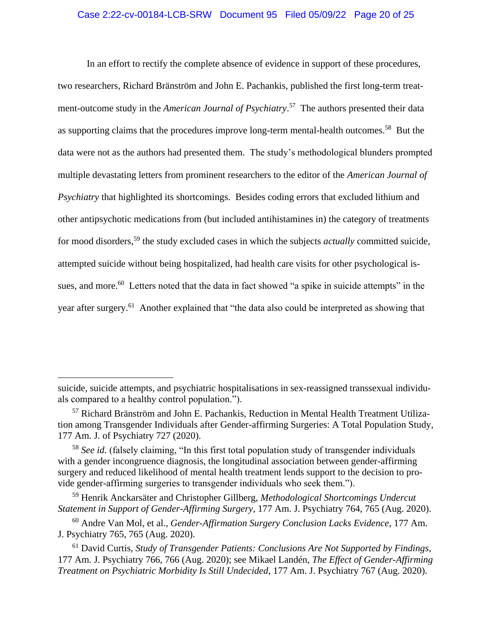### Case 2:22-cv-00184-LCB-SRW Document 95 Filed 05/09/22 Page 20 of 25

In an effort to rectify the complete absence of evidence in support of these procedures, two researchers, Richard Bränström and John E. Pachankis, published the first long-term treatment-outcome study in the *American Journal of Psychiatry*. 57 The authors presented their data as supporting claims that the procedures improve long-term mental-health outcomes.<sup>58</sup> But the data were not as the authors had presented them. The study's methodological blunders prompted multiple devastating letters from prominent researchers to the editor of the *American Journal of Psychiatry* that highlighted its shortcomings. Besides coding errors that excluded lithium and other antipsychotic medications from (but included antihistamines in) the category of treatments for mood disorders,<sup>59</sup> the study excluded cases in which the subjects *actually* committed suicide, attempted suicide without being hospitalized, had health care visits for other psychological issues, and more.<sup>60</sup> Letters noted that the data in fact showed "a spike in suicide attempts" in the year after surgery.<sup>61</sup> Another explained that "the data also could be interpreted as showing that

suicide, suicide attempts, and psychiatric hospitalisations in sex-reassigned transsexual individuals compared to a healthy control population.").

<sup>57</sup> Richard Bränström and John E. Pachankis, Reduction in Mental Health Treatment Utilization among Transgender Individuals after Gender-affirming Surgeries: A Total Population Study, 177 Am. J. of Psychiatry 727 (2020).

<sup>&</sup>lt;sup>58</sup> See id. (falsely claiming, "In this first total population study of transgender individuals with a gender incongruence diagnosis, the longitudinal association between gender-affirming surgery and reduced likelihood of mental health treatment lends support to the decision to provide gender-affirming surgeries to transgender individuals who seek them.").

<sup>59</sup> Henrik Anckarsäter and Christopher Gillberg, *Methodological Shortcomings Undercut Statement in Support of Gender-Affirming Surgery*, 177 Am. J. Psychiatry 764, 765 (Aug. 2020).

<sup>60</sup> Andre Van Mol, et al., *Gender-Affirmation Surgery Conclusion Lacks Evidence*, 177 Am. J. Psychiatry 765, 765 (Aug. 2020).

<sup>61</sup> David Curtis, *Study of Transgender Patients: Conclusions Are Not Supported by Findings*, 177 Am. J. Psychiatry 766, 766 (Aug. 2020); see Mikael Landén, *The Effect of Gender-Affirming Treatment on Psychiatric Morbidity Is Still Undecided*, 177 Am. J. Psychiatry 767 (Aug. 2020).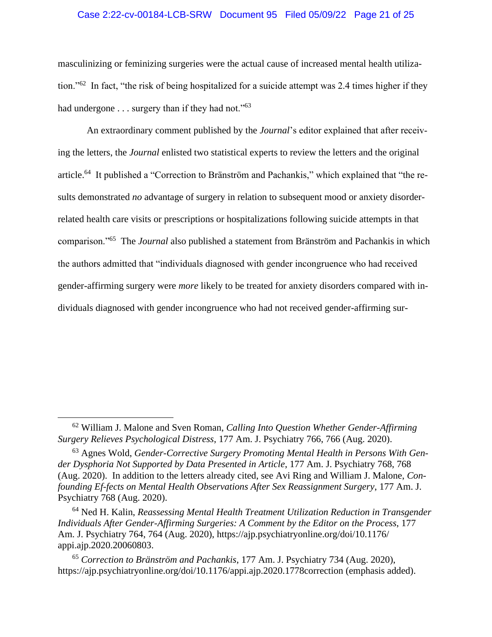### Case 2:22-cv-00184-LCB-SRW Document 95 Filed 05/09/22 Page 21 of 25

masculinizing or feminizing surgeries were the actual cause of increased mental health utilization."<sup>62</sup> In fact, "the risk of being hospitalized for a suicide attempt was 2.4 times higher if they had undergone . . . surgery than if they had not."<sup>63</sup>

An extraordinary comment published by the *Journal*'s editor explained that after receiving the letters, the *Journal* enlisted two statistical experts to review the letters and the original article.<sup>64</sup> It published a "Correction to Bränström and Pachankis," which explained that "the results demonstrated *no* advantage of surgery in relation to subsequent mood or anxiety disorderrelated health care visits or prescriptions or hospitalizations following suicide attempts in that comparison."<sup>65</sup> The *Journal* also published a statement from Bränström and Pachankis in which the authors admitted that "individuals diagnosed with gender incongruence who had received gender-affirming surgery were *more* likely to be treated for anxiety disorders compared with individuals diagnosed with gender incongruence who had not received gender-affirming sur-

<sup>62</sup> William J. Malone and Sven Roman, *Calling Into Question Whether Gender-Affirming Surgery Relieves Psychological Distress*, 177 Am. J. Psychiatry 766, 766 (Aug. 2020).

<sup>63</sup> Agnes Wold, *Gender-Corrective Surgery Promoting Mental Health in Persons With Gender Dysphoria Not Supported by Data Presented in Article*, 177 Am. J. Psychiatry 768, 768 (Aug. 2020). In addition to the letters already cited, see Avi Ring and William J. Malone, *Confounding Ef-fects on Mental Health Observations After Sex Reassignment Surgery*, 177 Am. J. Psychiatry 768 (Aug. 2020).

<sup>64</sup> Ned H. Kalin, *Reassessing Mental Health Treatment Utilization Reduction in Transgender Individuals After Gender-Affirming Surgeries: A Comment by the Editor on the Process*, 177 Am. J. Psychiatry 764, 764 (Aug. 2020), https://ajp.psychiatryonline.org/doi/10.1176/ appi.ajp.2020.20060803.

<sup>65</sup> *Correction to Bränström and Pachankis*, 177 Am. J. Psychiatry 734 (Aug. 2020), <https://ajp.psychiatryonline.org/doi/10.1176/appi.ajp.2020.1778correction> (emphasis added).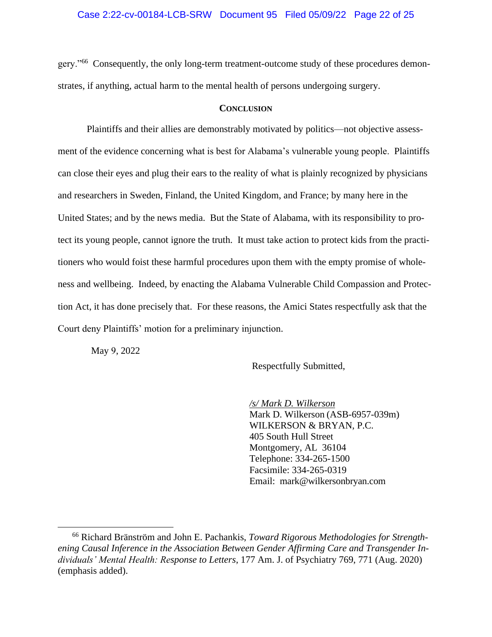### Case 2:22-cv-00184-LCB-SRW Document 95 Filed 05/09/22 Page 22 of 25

gery."<sup>66</sup> Consequently, the only long-term treatment-outcome study of these procedures demonstrates, if anything, actual harm to the mental health of persons undergoing surgery.

#### **CONCLUSION**

<span id="page-21-0"></span>Plaintiffs and their allies are demonstrably motivated by politics—not objective assessment of the evidence concerning what is best for Alabama's vulnerable young people. Plaintiffs can close their eyes and plug their ears to the reality of what is plainly recognized by physicians and researchers in Sweden, Finland, the United Kingdom, and France; by many here in the United States; and by the news media. But the State of Alabama, with its responsibility to protect its young people, cannot ignore the truth. It must take action to protect kids from the practitioners who would foist these harmful procedures upon them with the empty promise of wholeness and wellbeing. Indeed, by enacting the Alabama Vulnerable Child Compassion and Protection Act, it has done precisely that. For these reasons, the Amici States respectfully ask that the Court deny Plaintiffs' motion for a preliminary injunction.

May 9, 2022

Respectfully Submitted,

*/s/ Mark D. Wilkerson* Mark D. Wilkerson (ASB-6957-039m) WILKERSON & BRYAN, P.C. 405 South Hull Street Montgomery, AL 36104 Telephone: 334-265-1500 Facsimile: 334-265-0319 Email: [mark@wilkersonbryan.com](mailto:mark@wilkersonbryan.com)

<sup>66</sup> Richard Bränström and John E. Pachankis, *Toward Rigorous Methodologies for Strengthening Causal Inference in the Association Between Gender Affirming Care and Transgender Individuals' Mental Health: Response to Letters*, 177 Am. J. of Psychiatry 769, 771 (Aug. 2020) (emphasis added).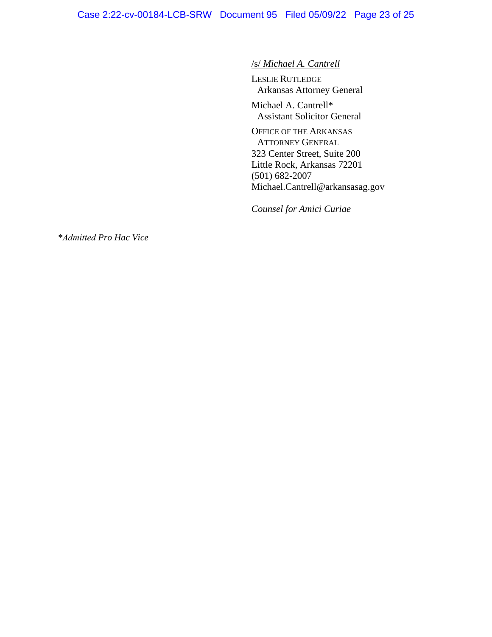# /s/ *Michael A. Cantrell*

LESLIE RUTLEDGE Arkansas Attorney General

Michael A. Cantrell\* Assistant Solicitor General

OFFICE OF THE ARKANSAS ATTORNEY GENERAL 323 Center Street, Suite 200 Little Rock, Arkansas 72201 (501) 682-2007 Michael.Cantrell@arkansasag.gov

*Counsel for Amici Curiae*

*\*Admitted Pro Hac Vice*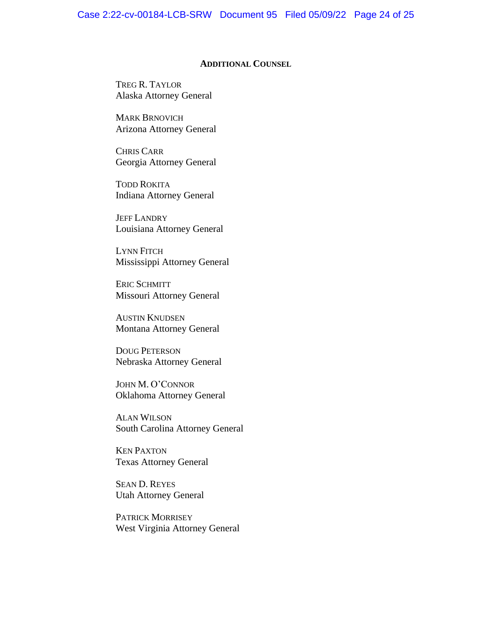#### **ADDITIONAL COUNSEL**

<span id="page-23-0"></span>TREG R. TAYLOR Alaska Attorney General

MARK BRNOVICH Arizona Attorney General

CHRIS CARR Georgia Attorney General

TODD ROKITA Indiana Attorney General

JEFF LANDRY Louisiana Attorney General

LYNN FITCH Mississippi Attorney General

ERIC SCHMITT Missouri Attorney General

AUSTIN KNUDSEN Montana Attorney General

DOUG PETERSON Nebraska Attorney General

JOHN M. O'CONNOR Oklahoma Attorney General

ALAN WILSON South Carolina Attorney General

KEN PAXTON Texas Attorney General

SEAN D. REYES Utah Attorney General

PATRICK MORRISEY West Virginia Attorney General